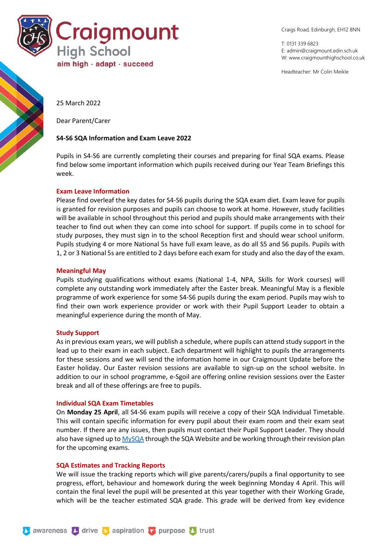

Craigs Road, Edinburgh, EH12 8NN

T: 0131 339 6823 E: [admin@craigmount.edin.sch.uk](mailto:admin@craigmount.edin.sch.uk) W[: www.craigmounthighschool.co.uk](http://www.craigmounthighschool.co.uk/)

Headteacher: Mr Colin Meikle

25 March 2022

Dear Parent/Carer

## **S4-S6 SQA Information and Exam Leave 2022**

Pupils in S4-S6 are currently completing their courses and preparing for final SQA exams. Please find below some important information which pupils received during our Year Team Briefings this week.

# **Exam Leave Information**

Please find overleaf the key dates for S4-S6 pupils during the SQA exam diet. Exam leave for pupils is granted for revision purposes and pupils can choose to work at home. However, study facilities will be available in school throughout this period and pupils should make arrangements with their teacher to find out when they can come into school for support. If pupils come in to school for study purposes, they must sign in to the school Reception first and should wear school uniform. Pupils studying 4 or more National 5s have full exam leave, as do all S5 and S6 pupils. Pupils with 1, 2 or 3 National 5s are entitled to 2 days before each exam for study and also the day of the exam.

### **Meaningful May**

Pupils studying qualifications without exams (National 1-4, NPA, Skills for Work courses) will complete any outstanding work immediately after the Easter break. Meaningful May is a flexible programme of work experience for some S4-S6 pupils during the exam period. Pupils may wish to find their own work experience provider or work with their Pupil Support Leader to obtain a meaningful experience during the month of May.

### **Study Support**

As in previous exam years, we will publish a schedule, where pupils can attend study support in the lead up to their exam in each subject. Each department will highlight to pupils the arrangements for these sessions and we will send the information home in our Craigmount Update before the Easter holiday. Our Easter revision sessions are available to sign-up on the school website. In addition to our in school programme, e-Sgoil are offering online revision sessions over the Easter break and all of these offerings are free to pupils.

### **Individual SQA Exam Timetables**

On **Monday 25 April**, all S4-S6 exam pupils will receive a copy of their SQA Individual Timetable. This will contain specific information for every pupil about their exam room and their exam seat number. If there are any issues, then pupils must contact their Pupil Support Leader. They should also have signed up t[o MySQA](https://www.mysqa.org.uk/cs8/content/secure/my_homepage.jsp) through the SQA Website and be working through their revision plan for the upcoming exams.

### **SQA Estimates and Tracking Reports**

We will issue the tracking reports which will give parents/carers/pupils a final opportunity to see progress, effort, behaviour and homework during the week beginning Monday 4 April. This will contain the final level the pupil will be presented at this year together with their Working Grade, which will be the teacher estimated SQA grade. This grade will be derived from key evidence